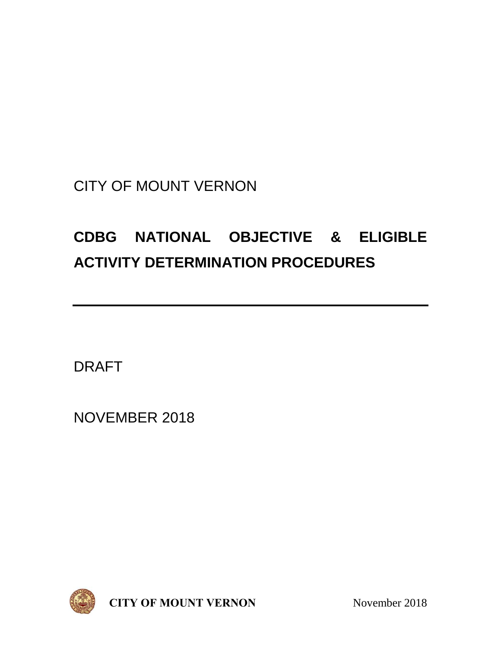## CITY OF MOUNT VERNON

# **CDBG NATIONAL OBJECTIVE & ELIGIBLE ACTIVITY DETERMINATION PROCEDURES**

DRAFT

NOVEMBER 2018



**CITY OF MOUNT VERNON** November 2018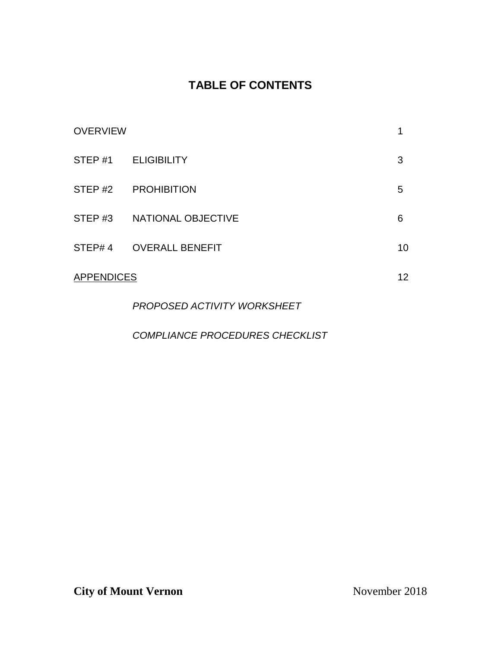## **TABLE OF CONTENTS**

| STEP #1 ELIGIBILITY        | 3  |
|----------------------------|----|
| STEP #2 PROHIBITION        | 5  |
| STEP #3 NATIONAL OBJECTIVE | 6  |
| STEP# 4 OVERALL BENEFIT    | 10 |
| <b>APPENDICES</b>          | 12 |
|                            |    |

*PROPOSED ACTIVITY WORKSHEET* 

*COMPLIANCE PROCEDURES CHECKLIST*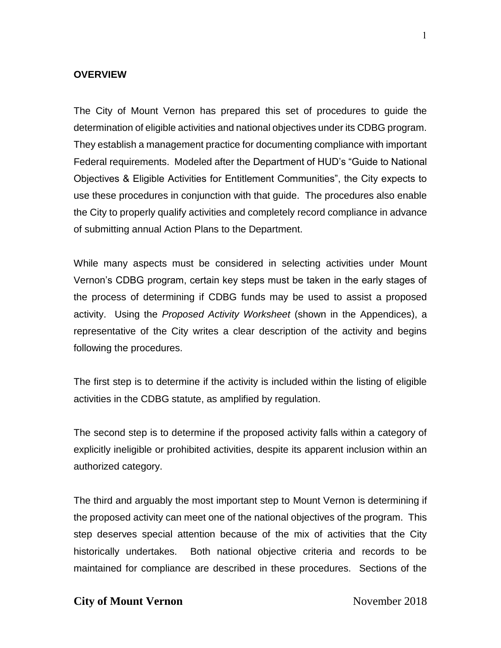#### **OVERVIEW**

The City of Mount Vernon has prepared this set of procedures to guide the determination of eligible activities and national objectives under its CDBG program. They establish a management practice for documenting compliance with important Federal requirements. Modeled after the Department of HUD's "Guide to National Objectives & Eligible Activities for Entitlement Communities", the City expects to use these procedures in conjunction with that guide. The procedures also enable the City to properly qualify activities and completely record compliance in advance of submitting annual Action Plans to the Department.

While many aspects must be considered in selecting activities under Mount Vernon's CDBG program, certain key steps must be taken in the early stages of the process of determining if CDBG funds may be used to assist a proposed activity. Using the *Proposed Activity Worksheet* (shown in the Appendices), a representative of the City writes a clear description of the activity and begins following the procedures.

The first step is to determine if the activity is included within the listing of eligible activities in the CDBG statute, as amplified by regulation.

The second step is to determine if the proposed activity falls within a category of explicitly ineligible or prohibited activities, despite its apparent inclusion within an authorized category.

The third and arguably the most important step to Mount Vernon is determining if the proposed activity can meet one of the national objectives of the program. This step deserves special attention because of the mix of activities that the City historically undertakes. Both national objective criteria and records to be maintained for compliance are described in these procedures. Sections of the

#### **City of Mount Vernon** November 2018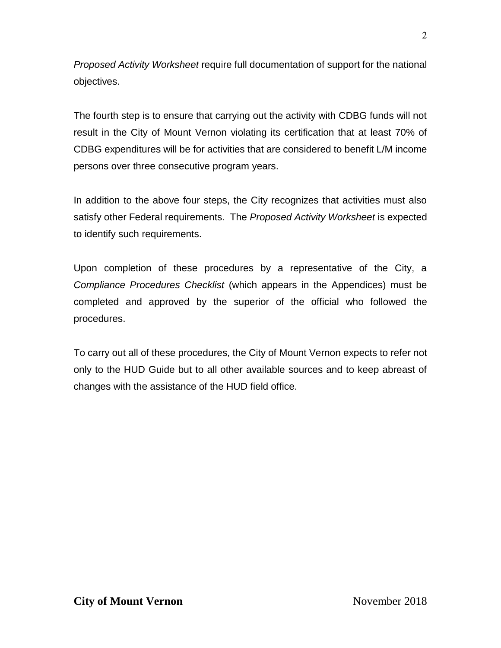*Proposed Activity Worksheet* require full documentation of support for the national objectives.

The fourth step is to ensure that carrying out the activity with CDBG funds will not result in the City of Mount Vernon violating its certification that at least 70% of CDBG expenditures will be for activities that are considered to benefit L/M income persons over three consecutive program years.

In addition to the above four steps, the City recognizes that activities must also satisfy other Federal requirements. The *Proposed Activity Worksheet* is expected to identify such requirements.

Upon completion of these procedures by a representative of the City, a *Compliance Procedures Checklist* (which appears in the Appendices) must be completed and approved by the superior of the official who followed the procedures.

To carry out all of these procedures, the City of Mount Vernon expects to refer not only to the HUD Guide but to all other available sources and to keep abreast of changes with the assistance of the HUD field office.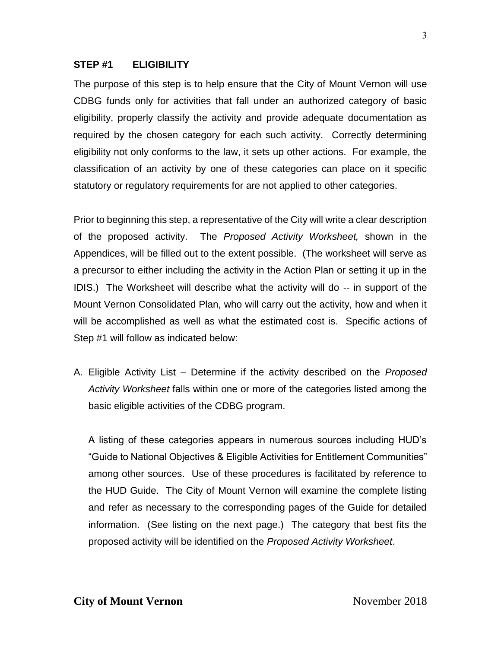#### **STEP #1 ELIGIBILITY**

The purpose of this step is to help ensure that the City of Mount Vernon will use CDBG funds only for activities that fall under an authorized category of basic eligibility, properly classify the activity and provide adequate documentation as required by the chosen category for each such activity. Correctly determining eligibility not only conforms to the law, it sets up other actions. For example, the classification of an activity by one of these categories can place on it specific statutory or regulatory requirements for are not applied to other categories.

Prior to beginning this step, a representative of the City will write a clear description of the proposed activity. The *Proposed Activity Worksheet,* shown in the Appendices, will be filled out to the extent possible. (The worksheet will serve as a precursor to either including the activity in the Action Plan or setting it up in the IDIS.) The Worksheet will describe what the activity will do -- in support of the Mount Vernon Consolidated Plan, who will carry out the activity, how and when it will be accomplished as well as what the estimated cost is. Specific actions of Step #1 will follow as indicated below:

A. Eligible Activity List – Determine if the activity described on the *Proposed Activity Worksheet* falls within one or more of the categories listed among the basic eligible activities of the CDBG program.

A listing of these categories appears in numerous sources including HUD's "Guide to National Objectives & Eligible Activities for Entitlement Communities" among other sources. Use of these procedures is facilitated by reference to the HUD Guide. The City of Mount Vernon will examine the complete listing and refer as necessary to the corresponding pages of the Guide for detailed information. (See listing on the next page.) The category that best fits the proposed activity will be identified on the *Proposed Activity Worksheet*.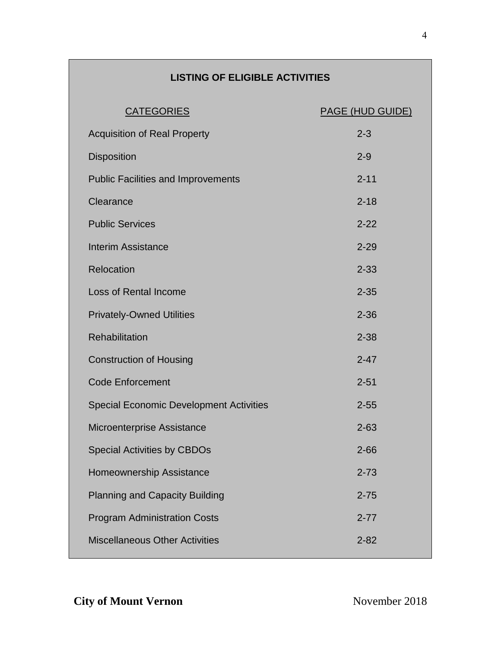## **LISTING OF ELIGIBLE ACTIVITIES**

| <b>CATEGORIES</b>                              | <b>PAGE (HUD GUIDE)</b> |
|------------------------------------------------|-------------------------|
| <b>Acquisition of Real Property</b>            | $2 - 3$                 |
| <b>Disposition</b>                             | $2 - 9$                 |
| <b>Public Facilities and Improvements</b>      | $2 - 11$                |
| Clearance                                      | $2 - 18$                |
| <b>Public Services</b>                         | $2 - 22$                |
| Interim Assistance                             | $2 - 29$                |
| Relocation                                     | $2 - 33$                |
| <b>Loss of Rental Income</b>                   | $2 - 35$                |
| <b>Privately-Owned Utilities</b>               | $2 - 36$                |
| Rehabilitation                                 | $2 - 38$                |
| <b>Construction of Housing</b>                 | $2 - 47$                |
| <b>Code Enforcement</b>                        | $2 - 51$                |
| <b>Special Economic Development Activities</b> | $2 - 55$                |
| Microenterprise Assistance                     | $2 - 63$                |
| <b>Special Activities by CBDOs</b>             | $2 - 66$                |
| Homeownership Assistance                       | $2 - 73$                |
| <b>Planning and Capacity Building</b>          | $2 - 75$                |
| <b>Program Administration Costs</b>            | $2 - 77$                |
| <b>Miscellaneous Other Activities</b>          | $2 - 82$                |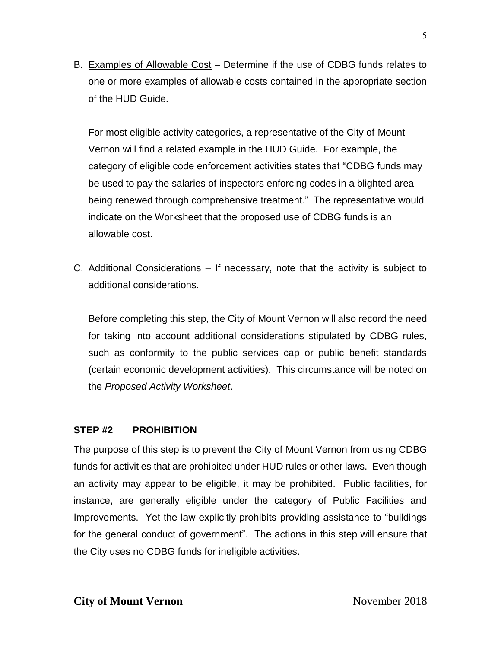B. Examples of Allowable Cost – Determine if the use of CDBG funds relates to one or more examples of allowable costs contained in the appropriate section of the HUD Guide.

For most eligible activity categories, a representative of the City of Mount Vernon will find a related example in the HUD Guide. For example, the category of eligible code enforcement activities states that "CDBG funds may be used to pay the salaries of inspectors enforcing codes in a blighted area being renewed through comprehensive treatment." The representative would indicate on the Worksheet that the proposed use of CDBG funds is an allowable cost.

C. Additional Considerations – If necessary, note that the activity is subject to additional considerations.

Before completing this step, the City of Mount Vernon will also record the need for taking into account additional considerations stipulated by CDBG rules, such as conformity to the public services cap or public benefit standards (certain economic development activities). This circumstance will be noted on the *Proposed Activity Worksheet*.

## **STEP #2 PROHIBITION**

The purpose of this step is to prevent the City of Mount Vernon from using CDBG funds for activities that are prohibited under HUD rules or other laws. Even though an activity may appear to be eligible, it may be prohibited. Public facilities, for instance, are generally eligible under the category of Public Facilities and Improvements. Yet the law explicitly prohibits providing assistance to "buildings for the general conduct of government". The actions in this step will ensure that the City uses no CDBG funds for ineligible activities.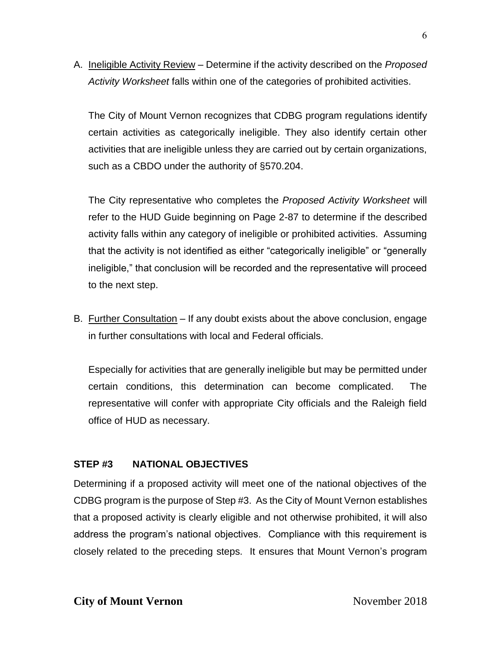A. Ineligible Activity Review – Determine if the activity described on the *Proposed Activity Worksheet* falls within one of the categories of prohibited activities.

The City of Mount Vernon recognizes that CDBG program regulations identify certain activities as categorically ineligible. They also identify certain other activities that are ineligible unless they are carried out by certain organizations, such as a CBDO under the authority of §570.204.

The City representative who completes the *Proposed Activity Worksheet* will refer to the HUD Guide beginning on Page 2-87 to determine if the described activity falls within any category of ineligible or prohibited activities. Assuming that the activity is not identified as either "categorically ineligible" or "generally ineligible," that conclusion will be recorded and the representative will proceed to the next step.

B. Further Consultation – If any doubt exists about the above conclusion, engage in further consultations with local and Federal officials.

Especially for activities that are generally ineligible but may be permitted under certain conditions, this determination can become complicated. The representative will confer with appropriate City officials and the Raleigh field office of HUD as necessary.

### **STEP #3 NATIONAL OBJECTIVES**

Determining if a proposed activity will meet one of the national objectives of the CDBG program is the purpose of Step #3. As the City of Mount Vernon establishes that a proposed activity is clearly eligible and not otherwise prohibited, it will also address the program's national objectives. Compliance with this requirement is closely related to the preceding steps. It ensures that Mount Vernon's program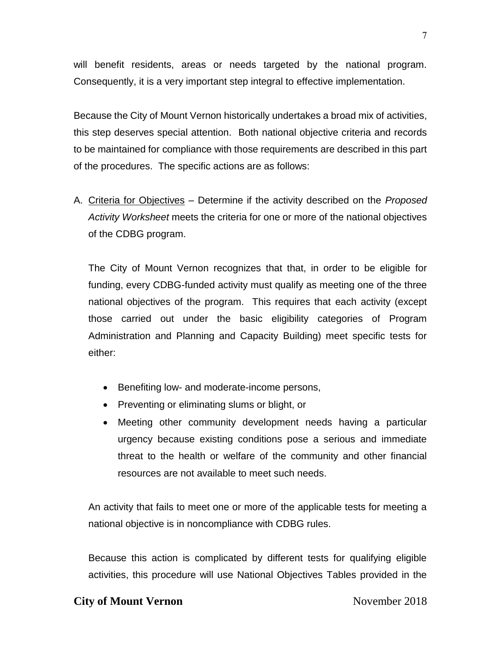will benefit residents, areas or needs targeted by the national program. Consequently, it is a very important step integral to effective implementation.

Because the City of Mount Vernon historically undertakes a broad mix of activities, this step deserves special attention. Both national objective criteria and records to be maintained for compliance with those requirements are described in this part of the procedures. The specific actions are as follows:

A. Criteria for Objectives – Determine if the activity described on the *Proposed Activity Worksheet* meets the criteria for one or more of the national objectives of the CDBG program.

The City of Mount Vernon recognizes that that, in order to be eligible for funding, every CDBG-funded activity must qualify as meeting one of the three national objectives of the program. This requires that each activity (except those carried out under the basic eligibility categories of Program Administration and Planning and Capacity Building) meet specific tests for either:

- Benefiting low- and moderate-income persons,
- Preventing or eliminating slums or blight, or
- Meeting other community development needs having a particular urgency because existing conditions pose a serious and immediate threat to the health or welfare of the community and other financial resources are not available to meet such needs.

An activity that fails to meet one or more of the applicable tests for meeting a national objective is in noncompliance with CDBG rules.

Because this action is complicated by different tests for qualifying eligible activities, this procedure will use National Objectives Tables provided in the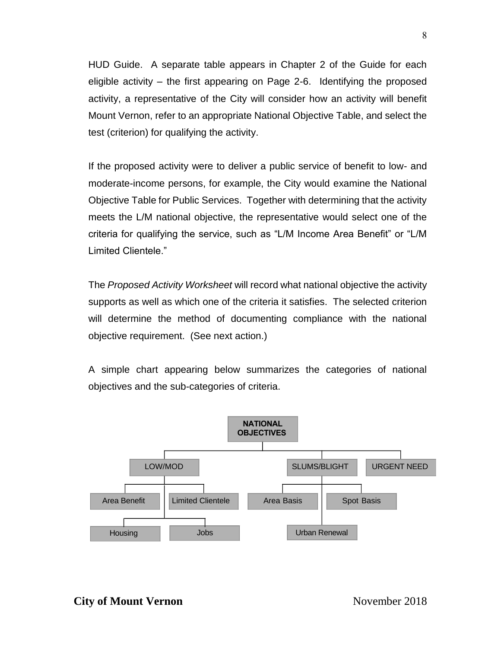HUD Guide. A separate table appears in Chapter 2 of the Guide for each eligible activity – the first appearing on Page 2-6. Identifying the proposed activity, a representative of the City will consider how an activity will benefit Mount Vernon, refer to an appropriate National Objective Table, and select the test (criterion) for qualifying the activity.

If the proposed activity were to deliver a public service of benefit to low- and moderate-income persons, for example, the City would examine the National Objective Table for Public Services. Together with determining that the activity meets the L/M national objective, the representative would select one of the criteria for qualifying the service, such as "L/M Income Area Benefit" or "L/M Limited Clientele."

The *Proposed Activity Worksheet* will record what national objective the activity supports as well as which one of the criteria it satisfies. The selected criterion will determine the method of documenting compliance with the national objective requirement. (See next action.)

A simple chart appearing below summarizes the categories of national objectives and the sub-categories of criteria.

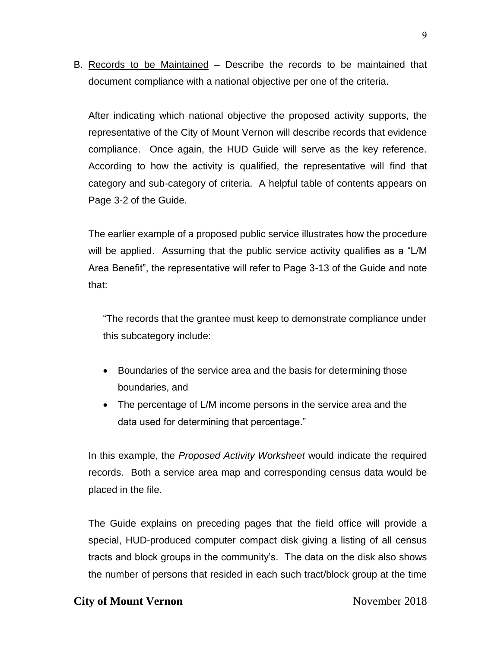B. Records to be Maintained – Describe the records to be maintained that document compliance with a national objective per one of the criteria.

After indicating which national objective the proposed activity supports, the representative of the City of Mount Vernon will describe records that evidence compliance. Once again, the HUD Guide will serve as the key reference. According to how the activity is qualified, the representative will find that category and sub-category of criteria. A helpful table of contents appears on Page 3-2 of the Guide.

The earlier example of a proposed public service illustrates how the procedure will be applied. Assuming that the public service activity qualifies as a "L/M Area Benefit", the representative will refer to Page 3-13 of the Guide and note that:

"The records that the grantee must keep to demonstrate compliance under this subcategory include:

- Boundaries of the service area and the basis for determining those boundaries, and
- The percentage of L/M income persons in the service area and the data used for determining that percentage."

In this example, the *Proposed Activity Worksheet* would indicate the required records. Both a service area map and corresponding census data would be placed in the file.

The Guide explains on preceding pages that the field office will provide a special, HUD-produced computer compact disk giving a listing of all census tracts and block groups in the community's. The data on the disk also shows the number of persons that resided in each such tract/block group at the time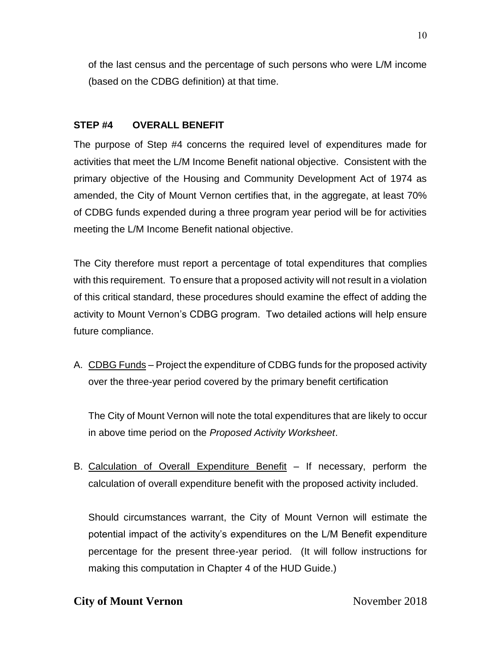of the last census and the percentage of such persons who were L/M income (based on the CDBG definition) at that time.

## **STEP #4 OVERALL BENEFIT**

The purpose of Step #4 concerns the required level of expenditures made for activities that meet the L/M Income Benefit national objective. Consistent with the primary objective of the Housing and Community Development Act of 1974 as amended, the City of Mount Vernon certifies that, in the aggregate, at least 70% of CDBG funds expended during a three program year period will be for activities meeting the L/M Income Benefit national objective.

The City therefore must report a percentage of total expenditures that complies with this requirement. To ensure that a proposed activity will not result in a violation of this critical standard, these procedures should examine the effect of adding the activity to Mount Vernon's CDBG program. Two detailed actions will help ensure future compliance.

A. CDBG Funds – Project the expenditure of CDBG funds for the proposed activity over the three-year period covered by the primary benefit certification

The City of Mount Vernon will note the total expenditures that are likely to occur in above time period on the *Proposed Activity Worksheet*.

B. Calculation of Overall Expenditure Benefit – If necessary, perform the calculation of overall expenditure benefit with the proposed activity included.

Should circumstances warrant, the City of Mount Vernon will estimate the potential impact of the activity's expenditures on the L/M Benefit expenditure percentage for the present three-year period. (It will follow instructions for making this computation in Chapter 4 of the HUD Guide.)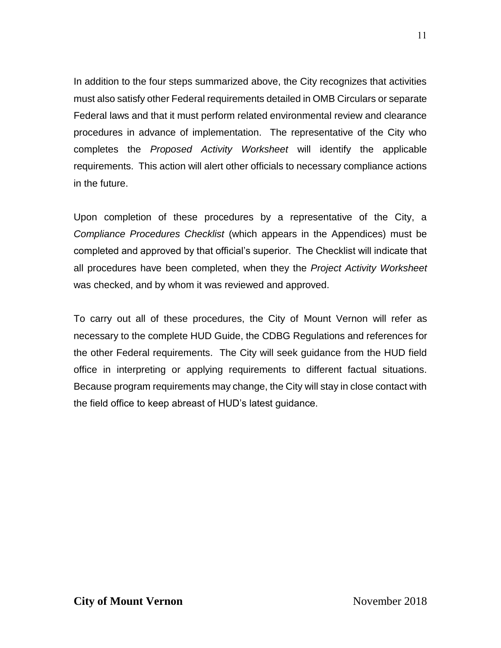In addition to the four steps summarized above, the City recognizes that activities must also satisfy other Federal requirements detailed in OMB Circulars or separate Federal laws and that it must perform related environmental review and clearance procedures in advance of implementation. The representative of the City who completes the *Proposed Activity Worksheet* will identify the applicable requirements. This action will alert other officials to necessary compliance actions in the future.

Upon completion of these procedures by a representative of the City, a *Compliance Procedures Checklist* (which appears in the Appendices) must be completed and approved by that official's superior. The Checklist will indicate that all procedures have been completed, when they the *Project Activity Worksheet* was checked, and by whom it was reviewed and approved.

To carry out all of these procedures, the City of Mount Vernon will refer as necessary to the complete HUD Guide, the CDBG Regulations and references for the other Federal requirements. The City will seek guidance from the HUD field office in interpreting or applying requirements to different factual situations. Because program requirements may change, the City will stay in close contact with the field office to keep abreast of HUD's latest guidance.